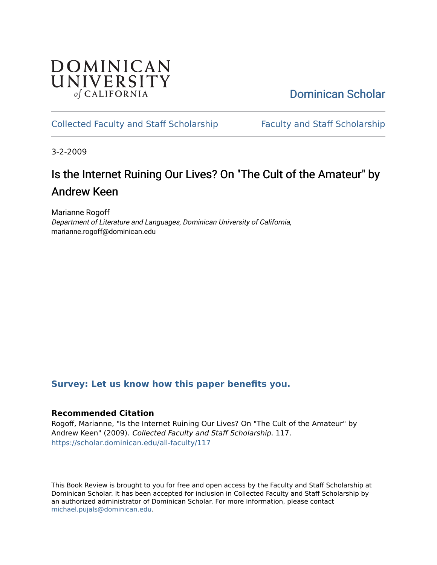## **DOMINICAN** UNIVERSITY of CALIFORNIA

[Dominican Scholar](https://scholar.dominican.edu/) 

### [Collected Faculty and Staff Scholarship](https://scholar.dominican.edu/all-faculty) [Faculty and Staff Scholarship](https://scholar.dominican.edu/faculty-scholarship)

3-2-2009

# Is the Internet Ruining Our Lives? On "The Cult of the Amateur" by Andrew Keen

Marianne Rogoff Department of Literature and Languages, Dominican University of California, marianne.rogoff@dominican.edu

### **[Survey: Let us know how this paper benefits you.](https://dominican.libwizard.com/dominican-scholar-feedback)**

#### **Recommended Citation**

Rogoff, Marianne, "Is the Internet Ruining Our Lives? On "The Cult of the Amateur" by Andrew Keen" (2009). Collected Faculty and Staff Scholarship. 117. [https://scholar.dominican.edu/all-faculty/117](https://scholar.dominican.edu/all-faculty/117?utm_source=scholar.dominican.edu%2Fall-faculty%2F117&utm_medium=PDF&utm_campaign=PDFCoverPages) 

This Book Review is brought to you for free and open access by the Faculty and Staff Scholarship at Dominican Scholar. It has been accepted for inclusion in Collected Faculty and Staff Scholarship by an authorized administrator of Dominican Scholar. For more information, please contact [michael.pujals@dominican.edu.](mailto:michael.pujals@dominican.edu)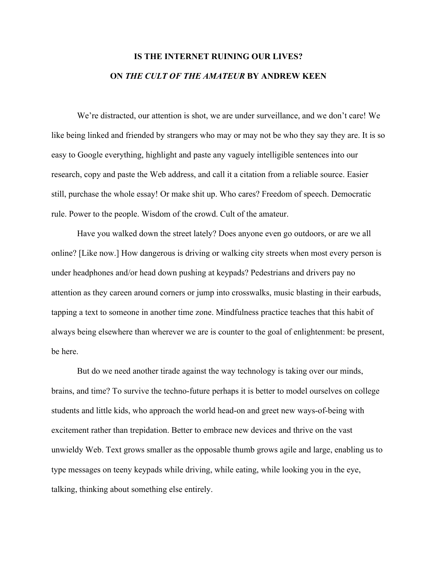## **IS THE INTERNET RUINING OUR LIVES? ON** *THE CULT OF THE AMATEUR* **BY ANDREW KEEN**

We're distracted, our attention is shot, we are under surveillance, and we don't care! We like being linked and friended by strangers who may or may not be who they say they are. It is so easy to Google everything, highlight and paste any vaguely intelligible sentences into our research, copy and paste the Web address, and call it a citation from a reliable source. Easier still, purchase the whole essay! Or make shit up. Who cares? Freedom of speech. Democratic rule. Power to the people. Wisdom of the crowd. Cult of the amateur.

Have you walked down the street lately? Does anyone even go outdoors, or are we all online? [Like now.] How dangerous is driving or walking city streets when most every person is under headphones and/or head down pushing at keypads? Pedestrians and drivers pay no attention as they careen around corners or jump into crosswalks, music blasting in their earbuds, tapping a text to someone in another time zone. Mindfulness practice teaches that this habit of always being elsewhere than wherever we are is counter to the goal of enlightenment: be present, be here.

But do we need another tirade against the way technology is taking over our minds, brains, and time? To survive the techno-future perhaps it is better to model ourselves on college students and little kids, who approach the world head-on and greet new ways-of-being with excitement rather than trepidation. Better to embrace new devices and thrive on the vast unwieldy Web. Text grows smaller as the opposable thumb grows agile and large, enabling us to type messages on teeny keypads while driving, while eating, while looking you in the eye, talking, thinking about something else entirely.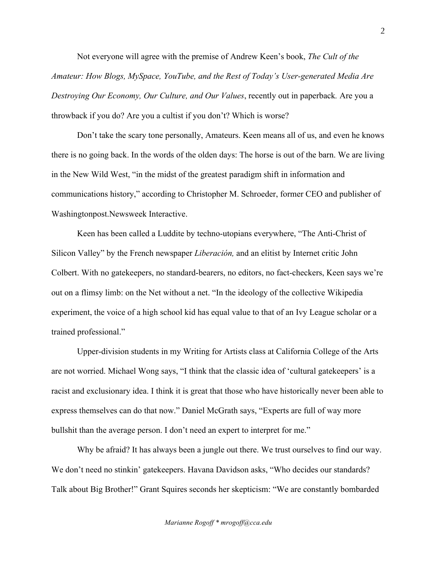Not everyone will agree with the premise of Andrew Keen's book, *The Cult of the Amateur: How Blogs, MySpace, YouTube, and the Rest of Today's User-generated Media Are Destroying Our Economy, Our Culture, and Our Values*, recently out in paperback*.* Are you a throwback if you do? Are you a cultist if you don't? Which is worse?

Don't take the scary tone personally, Amateurs. Keen means all of us, and even he knows there is no going back. In the words of the olden days: The horse is out of the barn. We are living in the New Wild West, "in the midst of the greatest paradigm shift in information and communications history," according to Christopher M. Schroeder, former CEO and publisher of Washingtonpost.Newsweek Interactive.

Keen has been called a Luddite by techno-utopians everywhere, "The Anti-Christ of Silicon Valley" by the French newspaper *Liberación,* and an elitist by Internet critic John Colbert. With no gatekeepers, no standard-bearers, no editors, no fact-checkers, Keen says we're out on a flimsy limb: on the Net without a net. "In the ideology of the collective Wikipedia experiment, the voice of a high school kid has equal value to that of an Ivy League scholar or a trained professional."

Upper-division students in my Writing for Artists class at California College of the Arts are not worried. Michael Wong says, "I think that the classic idea of 'cultural gatekeepers' is a racist and exclusionary idea. I think it is great that those who have historically never been able to express themselves can do that now." Daniel McGrath says, "Experts are full of way more bullshit than the average person. I don't need an expert to interpret for me."

Why be afraid? It has always been a jungle out there. We trust ourselves to find our way. We don't need no stinkin' gatekeepers. Havana Davidson asks, "Who decides our standards? Talk about Big Brother!" Grant Squires seconds her skepticism: "We are constantly bombarded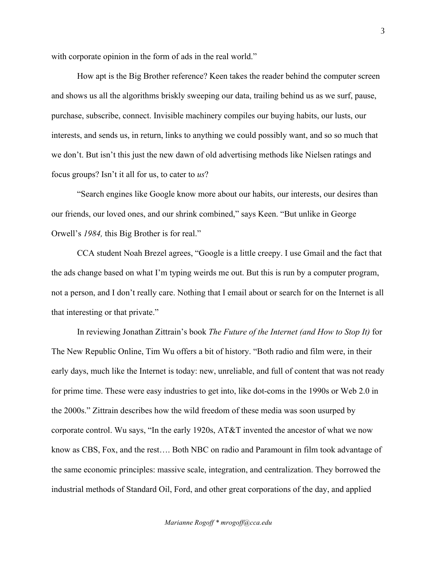with corporate opinion in the form of ads in the real world."

How apt is the Big Brother reference? Keen takes the reader behind the computer screen and shows us all the algorithms briskly sweeping our data, trailing behind us as we surf, pause, purchase, subscribe, connect. Invisible machinery compiles our buying habits, our lusts, our interests, and sends us, in return, links to anything we could possibly want, and so so much that we don't. But isn't this just the new dawn of old advertising methods like Nielsen ratings and focus groups? Isn't it all for us, to cater to *us*?

"Search engines like Google know more about our habits, our interests, our desires than our friends, our loved ones, and our shrink combined," says Keen. "But unlike in George Orwell's *1984,* this Big Brother is for real."

CCA student Noah Brezel agrees, "Google is a little creepy. I use Gmail and the fact that the ads change based on what I'm typing weirds me out. But this is run by a computer program, not a person, and I don't really care. Nothing that I email about or search for on the Internet is all that interesting or that private."

In reviewing Jonathan Zittrain's book *The Future of the Internet (and How to Stop It)* for The New Republic Online, Tim Wu offers a bit of history. "Both radio and film were, in their early days, much like the Internet is today: new, unreliable, and full of content that was not ready for prime time. These were easy industries to get into, like dot-coms in the 1990s or Web 2.0 in the 2000s." Zittrain describes how the wild freedom of these media was soon usurped by corporate control. Wu says, "In the early 1920s, AT&T invented the ancestor of what we now know as CBS, Fox, and the rest…. Both NBC on radio and Paramount in film took advantage of the same economic principles: massive scale, integration, and centralization. They borrowed the industrial methods of Standard Oil, Ford, and other great corporations of the day, and applied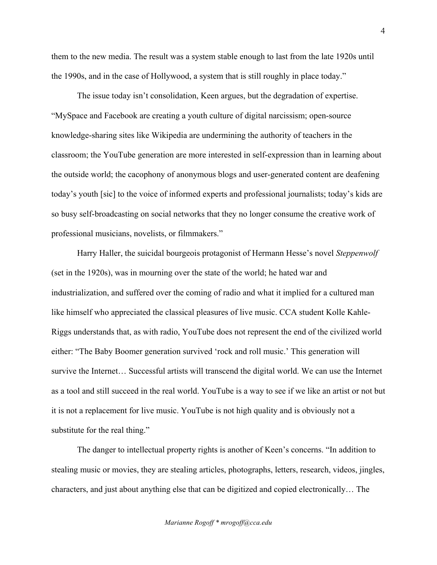them to the new media. The result was a system stable enough to last from the late 1920s until the 1990s, and in the case of Hollywood, a system that is still roughly in place today."

The issue today isn't consolidation, Keen argues, but the degradation of expertise. "MySpace and Facebook are creating a youth culture of digital narcissism; open-source knowledge-sharing sites like Wikipedia are undermining the authority of teachers in the classroom; the YouTube generation are more interested in self-expression than in learning about the outside world; the cacophony of anonymous blogs and user-generated content are deafening today's youth [sic] to the voice of informed experts and professional journalists; today's kids are so busy self-broadcasting on social networks that they no longer consume the creative work of professional musicians, novelists, or filmmakers."

Harry Haller, the suicidal bourgeois protagonist of Hermann Hesse's novel *Steppenwolf* (set in the 1920s), was in mourning over the state of the world; he hated war and industrialization, and suffered over the coming of radio and what it implied for a cultured man like himself who appreciated the classical pleasures of live music. CCA student Kolle Kahle-Riggs understands that, as with radio, YouTube does not represent the end of the civilized world either: "The Baby Boomer generation survived 'rock and roll music.' This generation will survive the Internet… Successful artists will transcend the digital world. We can use the Internet as a tool and still succeed in the real world. YouTube is a way to see if we like an artist or not but it is not a replacement for live music. YouTube is not high quality and is obviously not a substitute for the real thing."

The danger to intellectual property rights is another of Keen's concerns. "In addition to stealing music or movies, they are stealing articles, photographs, letters, research, videos, jingles, characters, and just about anything else that can be digitized and copied electronically… The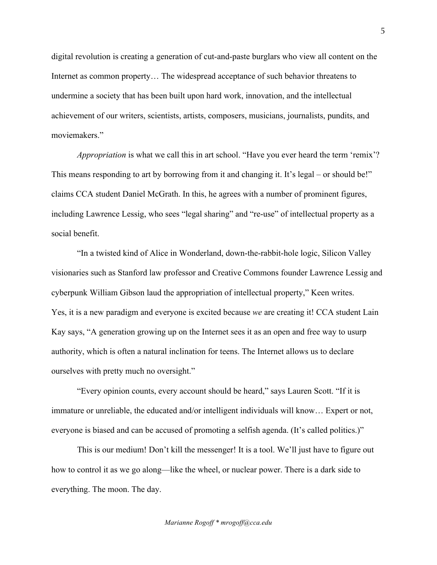digital revolution is creating a generation of cut-and-paste burglars who view all content on the Internet as common property… The widespread acceptance of such behavior threatens to undermine a society that has been built upon hard work, innovation, and the intellectual achievement of our writers, scientists, artists, composers, musicians, journalists, pundits, and moviemakers."

*Appropriation* is what we call this in art school. "Have you ever heard the term 'remix'? This means responding to art by borrowing from it and changing it. It's legal – or should be!" claims CCA student Daniel McGrath. In this, he agrees with a number of prominent figures, including Lawrence Lessig, who sees "legal sharing" and "re-use" of intellectual property as a social benefit.

"In a twisted kind of Alice in Wonderland, down-the-rabbit-hole logic, Silicon Valley visionaries such as Stanford law professor and Creative Commons founder Lawrence Lessig and cyberpunk William Gibson laud the appropriation of intellectual property," Keen writes. Yes, it is a new paradigm and everyone is excited because *we* are creating it! CCA student Lain Kay says, "A generation growing up on the Internet sees it as an open and free way to usurp authority, which is often a natural inclination for teens. The Internet allows us to declare ourselves with pretty much no oversight."

"Every opinion counts, every account should be heard," says Lauren Scott. "If it is immature or unreliable, the educated and/or intelligent individuals will know… Expert or not, everyone is biased and can be accused of promoting a selfish agenda. (It's called politics.)"

This is our medium! Don't kill the messenger! It is a tool. We'll just have to figure out how to control it as we go along—like the wheel, or nuclear power. There is a dark side to everything. The moon. The day.